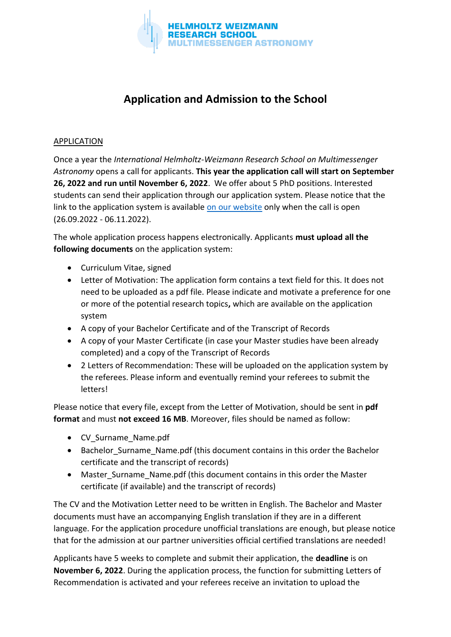

## **Application and Admission to the School**

## APPLICATION

Once a year the *International Helmholtz-Weizmann Research School on Multimessenger Astronomy* opens a call for applicants. **This year the application call will start on September 26, 2022 and run until November 6, 2022**. We offer about 5 PhD positions. Interested students can send their application through our application system. Please notice that the link to the application system is available [on our website](https://www.multimessenger-school.de/e83326/) only when the call is open (26.09.2022 - 06.11.2022).

The whole application process happens electronically. Applicants **must upload all the following documents** on the application system:

- Curriculum Vitae, signed
- Letter of Motivation: The application form contains a text field for this. It does not need to be uploaded as a pdf file. Please indicate and motivate a preference for one or more of the potential research topics**,** which are available on the application system
- A copy of your Bachelor Certificate and of the Transcript of Records
- A copy of your Master Certificate (in case your Master studies have been already completed) and a copy of the Transcript of Records
- 2 Letters of Recommendation: These will be uploaded on the application system by the referees. Please inform and eventually remind your referees to submit the letters!

Please notice that every file, except from the Letter of Motivation, should be sent in **pdf format** and must **not exceed 16 MB**. Moreover, files should be named as follow:

- CV\_Surname\_Name.pdf
- Bachelor Surname Name.pdf (this document contains in this order the Bachelor certificate and the transcript of records)
- Master Surname Name.pdf (this document contains in this order the Master certificate (if available) and the transcript of records)

The CV and the Motivation Letter need to be written in English. The Bachelor and Master documents must have an accompanying English translation if they are in a different language. For the application procedure unofficial translations are enough, but please notice that for the admission at our partner universities official certified translations are needed!

Applicants have 5 weeks to complete and submit their application, the **deadline** is on **November 6, 2022**. During the application process, the function for submitting Letters of Recommendation is activated and your referees receive an invitation to upload the